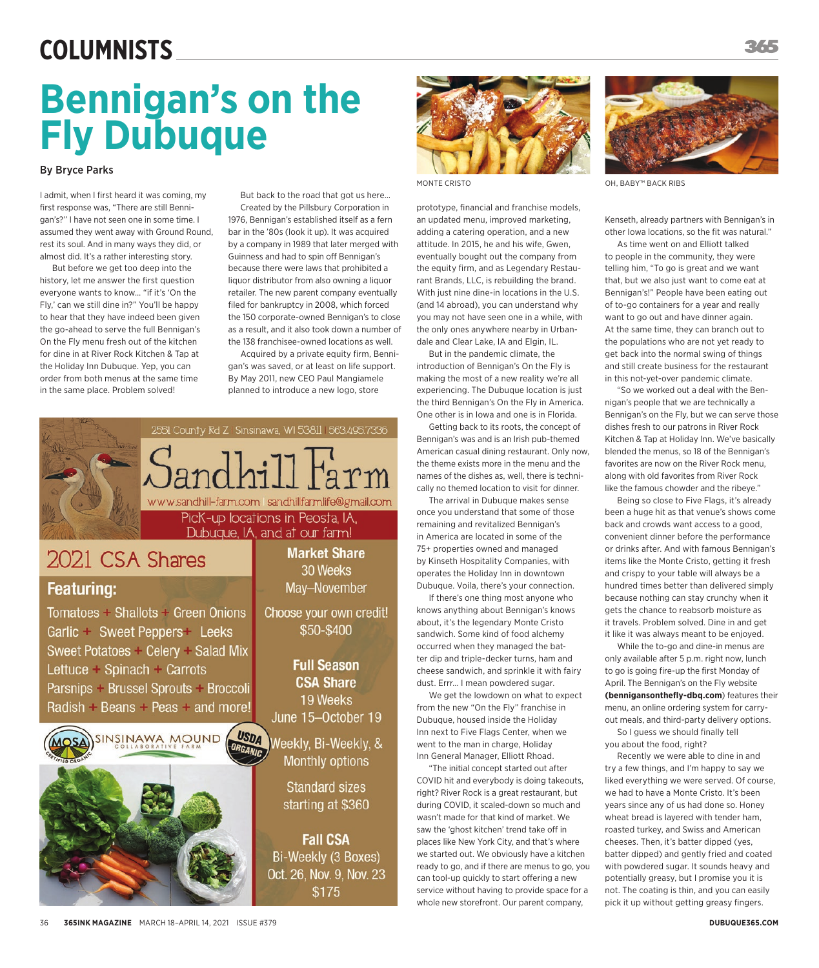### **Columnists**

# **Bennigan's on the Fly Dubuque**

#### By Bryce Parks

I admit, when I first heard it was coming, my first response was, "There are still Bennigan's?" I have not seen one in some time. I assumed they went away with Ground Round, rest its soul. And in many ways they did, or almost did. It's a rather interesting story.

But before we get too deep into the history, let me answer the first question everyone wants to know… "if it's 'On the Fly,' can we still dine in?" You'll be happy to hear that they have indeed been given the go-ahead to serve the full Bennigan's On the Fly menu fresh out of the kitchen for dine in at River Rock Kitchen & Tap at the Holiday Inn Dubuque. Yep, you can order from both menus at the same time in the same place. Problem solved!

But back to the road that got us here… Created by the Pillsbury Corporation in 1976, Bennigan's established itself as a fern bar in the '80s (look it up). It was acquired by a company in 1989 that later merged with Guinness and had to spin off Bennigan's because there were laws that prohibited a liquor distributor from also owning a liquor retailer. The new parent company eventually filed for bankruptcy in 2008, which forced the 150 corporate-owned Bennigan's to close as a result, and it also took down a number of the 138 franchisee-owned locations as well.

Acquired by a private equity firm, Bennigan's was saved, or at least on life support. By May 2011, new CEO Paul Mangiamele planned to introduce a new logo, store





prototype, financial and franchise models, an updated menu, improved marketing, adding a catering operation, and a new attitude. In 2015, he and his wife, Gwen, eventually bought out the company from the equity firm, and as Legendary Restaurant Brands, LLC, is rebuilding the brand. With just nine dine-in locations in the U.S. (and 14 abroad), you can understand why you may not have seen one in a while, with the only ones anywhere nearby in Urbandale and Clear Lake, IA and Elgin, IL.

But in the pandemic climate, the introduction of Bennigan's On the Fly is making the most of a new reality we're all experiencing. The Dubuque location is just the third Bennigan's On the Fly in America. One other is in Iowa and one is in Florida.

Getting back to its roots, the concept of Bennigan's was and is an Irish pub-themed American casual dining restaurant. Only now, the theme exists more in the menu and the names of the dishes as, well, there is technically no themed location to visit for dinner.

The arrival in Dubuque makes sense once you understand that some of those remaining and revitalized Bennigan's in America are located in some of the 75+ properties owned and managed by Kinseth Hospitality Companies, with operates the Holiday Inn in downtown Dubuque. Voila, there's your connection.

If there's one thing most anyone who knows anything about Bennigan's knows about, it's the legendary Monte Cristo sandwich. Some kind of food alchemy occurred when they managed the batter dip and triple-decker turns, ham and cheese sandwich, and sprinkle it with fairy dust. Errr… I mean powdered sugar.

We get the lowdown on what to expect from the new "On the Fly" franchise in Dubuque, housed inside the Holiday Inn next to Five Flags Center, when we went to the man in charge, Holiday Inn General Manager, Elliott Rhoad.

"The initial concept started out after COVID hit and everybody is doing takeouts, right? River Rock is a great restaurant, but during COVID, it scaled-down so much and wasn't made for that kind of market. We saw the 'ghost kitchen' trend take off in places like New York City, and that's where we started out. We obviously have a kitchen ready to go, and if there are menus to go, you can tool-up quickly to start offering a new service without having to provide space for a whole new storefront. Our parent company,



MONTE CRISTO **OH, BABY™ BACK RIBS** 

Kenseth, already partners with Bennigan's in other Iowa locations, so the fit was natural."

As time went on and Elliott talked to people in the community, they were telling him, "To go is great and we want that, but we also just want to come eat at Bennigan's!" People have been eating out of to-go containers for a year and really want to go out and have dinner again. At the same time, they can branch out to the populations who are not yet ready to get back into the normal swing of things and still create business for the restaurant in this not-yet-over pandemic climate.

"So we worked out a deal with the Bennigan's people that we are technically a Bennigan's on the Fly, but we can serve those dishes fresh to our patrons in River Rock Kitchen & Tap at Holiday Inn. We've basically blended the menus, so 18 of the Bennigan's favorites are now on the River Rock menu, along with old favorites from River Rock like the famous chowder and the ribeye."

Being so close to Five Flags, it's already been a huge hit as that venue's shows come back and crowds want access to a good, convenient dinner before the performance or drinks after. And with famous Bennigan's items like the Monte Cristo, getting it fresh and crispy to your table will always be a hundred times better than delivered simply because nothing can stay crunchy when it gets the chance to reabsorb moisture as it travels. Problem solved. Dine in and get it like it was always meant to be enjoyed.

While the to-go and dine-in menus are only available after 5 p.m. right now, lunch to go is going fire-up the first Monday of April. The Bennigan's on the Fly website **(bennigansonthefly-dbq.com**) features their menu, an online ordering system for carryout meals, and third-party delivery options.

So I guess we should finally tell you about the food, right?

Recently we were able to dine in and try a few things, and I'm happy to say we liked everything we were served. Of course, we had to have a Monte Cristo. It's been years since any of us had done so. Honey wheat bread is layered with tender ham, roasted turkey, and Swiss and American cheeses. Then, it's batter dipped (yes, batter dipped) and gently fried and coated with powdered sugar. It sounds heavy and potentially greasy, but I promise you it is not. The coating is thin, and you can easily pick it up without getting greasy fingers.